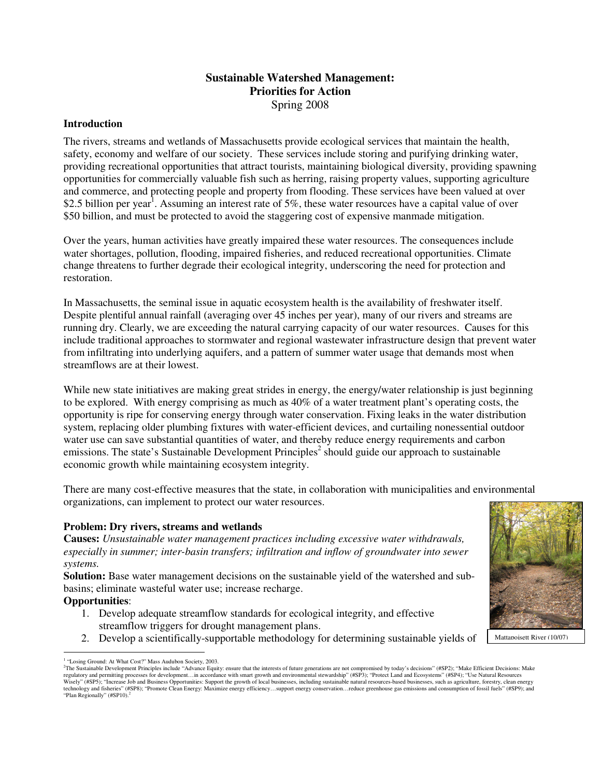# **Sustainable Watershed Management: Priorities for Action**  Spring 2008

### **Introduction**

The rivers, streams and wetlands of Massachusetts provide ecological services that maintain the health, safety, economy and welfare of our society. These services include storing and purifying drinking water, providing recreational opportunities that attract tourists, maintaining biological diversity, providing spawning opportunities for commercially valuable fish such as herring, raising property values, supporting agriculture and commerce, and protecting people and property from flooding. These services have been valued at over \$2.5 billion per year<sup>1</sup>. Assuming an interest rate of 5%, these water resources have a capital value of over \$50 billion, and must be protected to avoid the staggering cost of expensive manmade mitigation.

Over the years, human activities have greatly impaired these water resources. The consequences include water shortages, pollution, flooding, impaired fisheries, and reduced recreational opportunities. Climate change threatens to further degrade their ecological integrity, underscoring the need for protection and restoration.

In Massachusetts, the seminal issue in aquatic ecosystem health is the availability of freshwater itself. Despite plentiful annual rainfall (averaging over 45 inches per year), many of our rivers and streams are running dry. Clearly, we are exceeding the natural carrying capacity of our water resources. Causes for this include traditional approaches to stormwater and regional wastewater infrastructure design that prevent water from infiltrating into underlying aquifers, and a pattern of summer water usage that demands most when streamflows are at their lowest.

While new state initiatives are making great strides in energy, the energy/water relationship is just beginning to be explored. With energy comprising as much as 40% of a water treatment plant's operating costs, the opportunity is ripe for conserving energy through water conservation. Fixing leaks in the water distribution system, replacing older plumbing fixtures with water-efficient devices, and curtailing nonessential outdoor water use can save substantial quantities of water, and thereby reduce energy requirements and carbon emissions. The state's Sustainable Development Principles<sup>2</sup> should guide our approach to sustainable economic growth while maintaining ecosystem integrity.

There are many cost-effective measures that the state, in collaboration with municipalities and environmental organizations, can implement to protect our water resources.

#### **Problem: Dry rivers, streams and wetlands**

**Causes:** *Unsustainable water management practices including excessive water withdrawals, especially in summer; inter-basin transfers; infiltration and inflow of groundwater into sewer systems.* 

**Solution:** Base water management decisions on the sustainable yield of the watershed and subbasins; eliminate wasteful water use; increase recharge.

#### **Opportunities**:

- 1. Develop adequate streamflow standards for ecological integrity, and effective streamflow triggers for drought management plans.
- 2. Develop a scientifically-supportable methodology for determining sustainable yields of



 $\overline{a}$ <sup>1</sup> "Losing Ground: At What Cost?" Mass Audubon Society, 2003.

<sup>&</sup>lt;sup>2</sup>The Sustainable Development Principles include "Advance Equity: ensure that the interests of future generations are not compromised by today's decisions" (#SP2); "Make Efficient Decisions: Make<br>regulatory and permitting Wisely" (#SP5); "Increase Job and Business Opportunities: Support the growth of local businesses, including sustainable natural resources-based businesses, such as agriculture, forestry, clean energy technology and fisheries" (#SP8); "Promote Clean Energy: Maximize energy efficiency…support energy conservation…reduce greenhouse gas emissions and consumption of fossil fuels" (#SP9); and<br>"Plan Regionally" (#SP10).<sup>2</sup> "Plan Regionally" (#SP10).<sup>2</sup>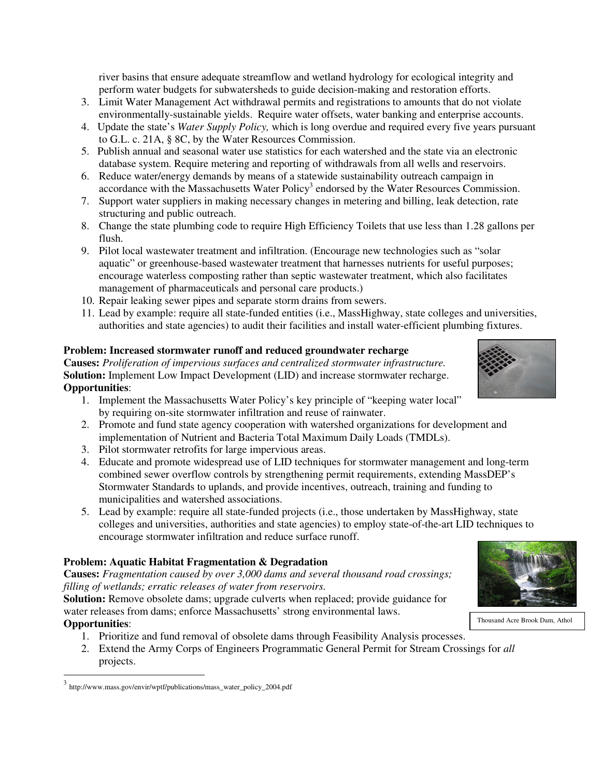river basins that ensure adequate streamflow and wetland hydrology for ecological integrity and perform water budgets for subwatersheds to guide decision-making and restoration efforts.

- 3. Limit Water Management Act withdrawal permits and registrations to amounts that do not violate environmentally-sustainable yields. Require water offsets, water banking and enterprise accounts.
- 4. Update the state's *Water Supply Policy,* which is long overdue and required every five years pursuant to G.L. c. 21A, § 8C, by the Water Resources Commission.
- 5. Publish annual and seasonal water use statistics for each watershed and the state via an electronic database system. Require metering and reporting of withdrawals from all wells and reservoirs.
- 6. Reduce water/energy demands by means of a statewide sustainability outreach campaign in accordance with the Massachusetts Water Policy<sup>3</sup> endorsed by the Water Resources Commission.
- 7. Support water suppliers in making necessary changes in metering and billing, leak detection, rate structuring and public outreach.
- 8. Change the state plumbing code to require High Efficiency Toilets that use less than 1.28 gallons per flush.
- 9. Pilot local wastewater treatment and infiltration. (Encourage new technologies such as "solar aquatic" or greenhouse-based wastewater treatment that harnesses nutrients for useful purposes; encourage waterless composting rather than septic wastewater treatment, which also facilitates management of pharmaceuticals and personal care products.)
- 10. Repair leaking sewer pipes and separate storm drains from sewers.
- 11. Lead by example: require all state-funded entities (i.e., MassHighway, state colleges and universities, authorities and state agencies) to audit their facilities and install water-efficient plumbing fixtures.

### **Problem: Increased stormwater runoff and reduced groundwater recharge**

**Causes:** *Proliferation of impervious surfaces and centralized stormwater infrastructure.* **Solution:** Implement Low Impact Development (LID) and increase stormwater recharge. **Opportunities**:

- 1. Implement the Massachusetts Water Policy's key principle of "keeping water local" by requiring on-site stormwater infiltration and reuse of rainwater.
- 2. Promote and fund state agency cooperation with watershed organizations for development and implementation of Nutrient and Bacteria Total Maximum Daily Loads (TMDLs).
- 3. Pilot stormwater retrofits for large impervious areas.
- 4. Educate and promote widespread use of LID techniques for stormwater management and long-term combined sewer overflow controls by strengthening permit requirements, extending MassDEP's Stormwater Standards to uplands, and provide incentives, outreach, training and funding to municipalities and watershed associations.
- 5. Lead by example: require all state-funded projects (i.e., those undertaken by MassHighway, state colleges and universities, authorities and state agencies) to employ state-of-the-art LID techniques to encourage stormwater infiltration and reduce surface runoff.

## **Problem: Aquatic Habitat Fragmentation & Degradation**

**Causes:** *Fragmentation caused by over 3,000 dams and several thousand road crossings; filling of wetlands; erratic releases of water from reservoirs.* 

**Solution:** Remove obsolete dams; upgrade culverts when replaced; provide guidance for water releases from dams; enforce Massachusetts' strong environmental laws. **Opportunities**:

- 1. Prioritize and fund removal of obsolete dams through Feasibility Analysis processes.
- 2. Extend the Army Corps of Engineers Programmatic General Permit for Stream Crossings for *all* projects.

 $\overline{a}$ 



Thousand Acre Brook Dam, Athol



<sup>3</sup> http://www.mass.gov/envir/wptf/publications/mass\_water\_policy\_2004.pdf